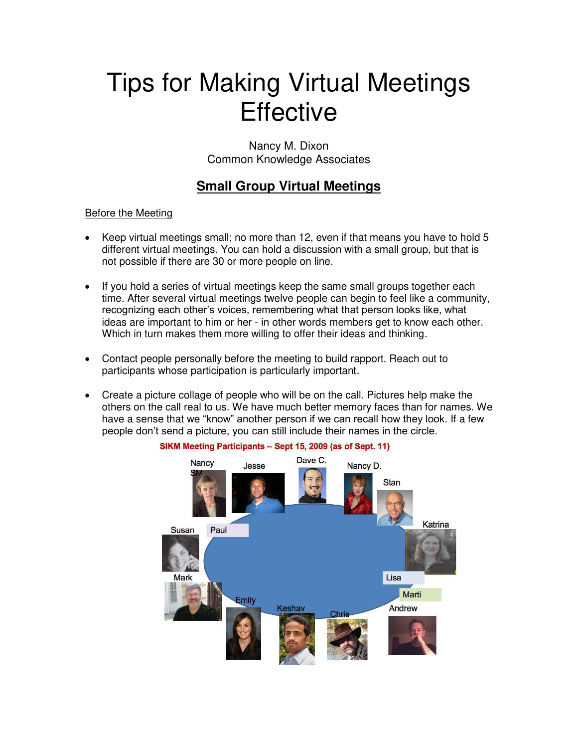# Tips for Making Virtual Meetings **Effective**

Nancy M. Dixon Common Knowledge Associates

# **Small Group Virtual Meetings**

## Before the Meeting

- Keep virtual meetings small; no more than 12, even if that means you have to hold 5 different virtual meetings. You can hold a discussion with a small group, but that is not possible if there are 30 or more people on line.
- If you hold a series of virtual meetings keep the same small groups together each time. After several virtual meetings twelve people can begin to feel like a community, recognizing each other's voices, remembering what that person looks like, what ideas are important to him or her - in other words members get to know each other. Which in turn makes them more willing to offer their ideas and thinking.
- Contact people personally before the meeting to build rapport. Reach out to participants whose participation is particularly important.
- Create a picture collage of people who will be on the call. Pictures help make the others on the call real to us. We have much better memory faces than for names. We have a sense that we "know" another person if we can recall how they look. If a few people don't send a picture, you can still include their names in the circle.



#### SIKM Meeting Participants - Sept 15, 2009 (as of Sept. 11)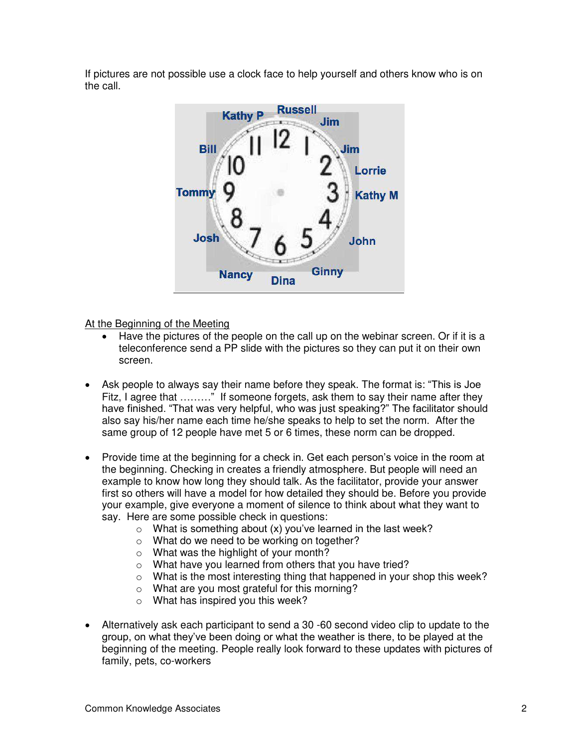If pictures are not possible use a clock face to help yourself and others know who is on the call.



At the Beginning of the Meeting

- Have the pictures of the people on the call up on the webinar screen. Or if it is a teleconference send a PP slide with the pictures so they can put it on their own screen.
- Ask people to always say their name before they speak. The format is: "This is Joe Fitz, I agree that ........." If someone forgets, ask them to say their name after they have finished. "That was very helpful, who was just speaking?" The facilitator should also say his/her name each time he/she speaks to help to set the norm. After the same group of 12 people have met 5 or 6 times, these norm can be dropped.
- Provide time at the beginning for a check in. Get each person's voice in the room at the beginning. Checking in creates a friendly atmosphere. But people will need an example to know how long they should talk. As the facilitator, provide your answer first so others will have a model for how detailed they should be. Before you provide your example, give everyone a moment of silence to think about what they want to say. Here are some possible check in questions:
	- $\circ$  What is something about (x) you've learned in the last week?
	- o What do we need to be working on together?
	- o What was the highlight of your month?
	- o What have you learned from others that you have tried?
	- o What is the most interesting thing that happened in your shop this week?
	- o What are you most grateful for this morning?
	- o What has inspired you this week?
- Alternatively ask each participant to send a 30 -60 second video clip to update to the group, on what they've been doing or what the weather is there, to be played at the beginning of the meeting. People really look forward to these updates with pictures of family, pets, co-workers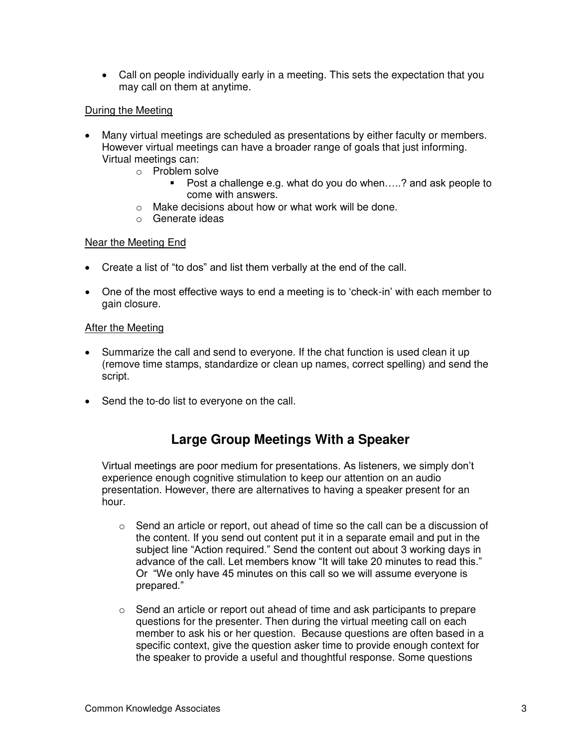Call on people individually early in a meeting. This sets the expectation that you may call on them at anytime.

#### During the Meeting

- Many virtual meetings are scheduled as presentations by either faculty or members. However virtual meetings can have a broader range of goals that just informing. Virtual meetings can:
	- o Problem solve
		- Post a challenge e.g. what do you do when.....? and ask people to come with answers.
	- o Make decisions about how or what work will be done.
	- o Generate ideas

#### Near the Meeting End

- Create a list of "to dos" and list them verbally at the end of the call.
- One of the most effective ways to end a meeting is to 'check-in' with each member to gain closure.

#### After the Meeting

- Summarize the call and send to everyone. If the chat function is used clean it up (remove time stamps, standardize or clean up names, correct spelling) and send the script.
- Send the to-do list to everyone on the call.

## **Large Group Meetings With a Speaker**

Virtual meetings are poor medium for presentations. As listeners, we simply don't experience enough cognitive stimulation to keep our attention on an audio presentation. However, there are alternatives to having a speaker present for an hour.

- o Send an article or report, out ahead of time so the call can be a discussion of the content. If you send out content put it in a separate email and put in the subject line "Action required." Send the content out about 3 working days in advance of the call. Let members know "It will take 20 minutes to read this." Or "We only have 45 minutes on this call so we will assume everyone is prepared."
- $\circ$  Send an article or report out ahead of time and ask participants to prepare questions for the presenter. Then during the virtual meeting call on each member to ask his or her question. Because questions are often based in a specific context, give the question asker time to provide enough context for the speaker to provide a useful and thoughtful response. Some questions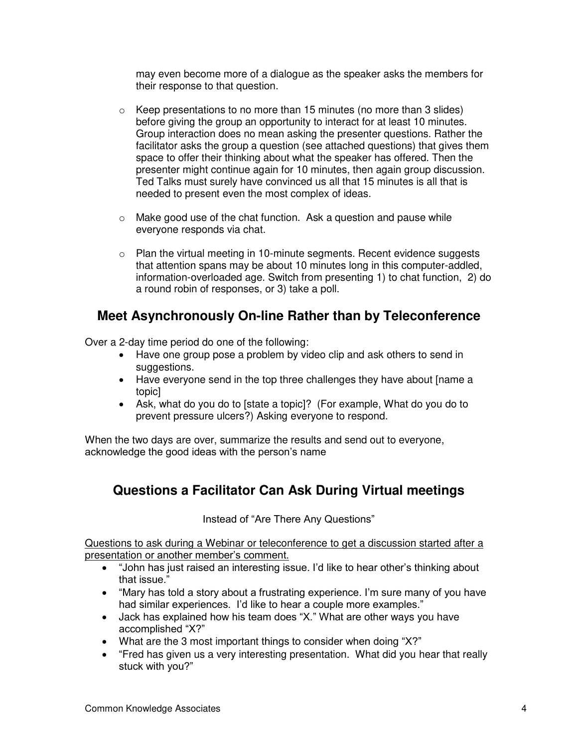may even become more of a dialogue as the speaker asks the members for their response to that question.

- o Keep presentations to no more than 15 minutes (no more than 3 slides) before giving the group an opportunity to interact for at least 10 minutes. Group interaction does no mean asking the presenter questions. Rather the facilitator asks the group a question (see attached questions) that gives them space to offer their thinking about what the speaker has offered. Then the presenter might continue again for 10 minutes, then again group discussion. Ted Talks must surely have convinced us all that 15 minutes is all that is needed to present even the most complex of ideas.
- o Make good use of the chat function. Ask a question and pause while everyone responds via chat.
- $\circ$  Plan the virtual meeting in 10-minute segments. Recent evidence suggests that attention spans may be about 10 minutes long in this computer-addled, information-overloaded age. Switch from presenting 1) to chat function, 2) do a round robin of responses, or 3) take a poll.

## **Meet Asynchronously On-line Rather than by Teleconference**

Over a 2-day time period do one of the following:

- Have one group pose a problem by video clip and ask others to send in suggestions.
- Have everyone send in the top three challenges they have about [name a topic]
- Ask, what do you do to [state a topic]? (For example, What do you do to prevent pressure ulcers?) Asking everyone to respond.

When the two days are over, summarize the results and send out to everyone, acknowledge the good ideas with the person's name

# **Questions a Facilitator Can Ask During Virtual meetings**

Instead of "Are There Any Questions"

Questions to ask during a Webinar or teleconference to get a discussion started after a presentation or another member's comment.

- "John has just raised an interesting issue. I'd like to hear other's thinking about that issue."
- "Mary has told a story about a frustrating experience. I'm sure many of you have had similar experiences. I'd like to hear a couple more examples."
- Jack has explained how his team does "X." What are other ways you have accomplished "X?"
- What are the 3 most important things to consider when doing "X?"
- "Fred has given us a very interesting presentation. What did you hear that really stuck with you?"